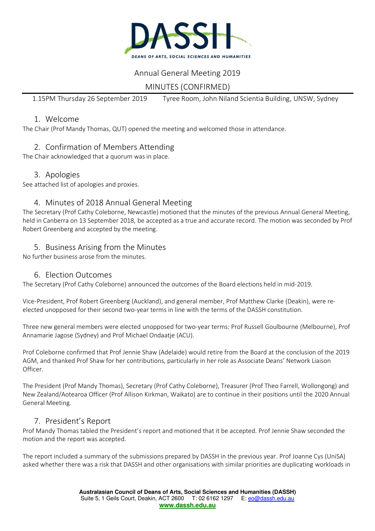

## Annual General Meeting 2019

# MINUTES (CONFIRMED)

1.15PM Thursday 26 September 2019 Tyree Room, John Niland Scientia Building, UNSW, Sydney

#### 1. Welcome

The Chair (Prof Mandy Thomas, QUT) opened the meeting and welcomed those in attendance.

## 2. Confirmation of Members Attending

The Chair acknowledged that a quorum was in place.

#### 3. Apologies

See attached list of apologies and proxies.

### 4. Minutes of 2018 Annual General Meeting

The Secretary (Prof Cathy Coleborne, Newcastle) motioned that the minutes of the previous Annual General Meeting, held in Canberra on 13 September 2018, be accepted as a true and accurate record. The motion was seconded by Prof Robert Greenberg and accepted by the meeting.

### 5. Business Arising from the Minutes

No further business arose from the minutes.

### 6. Election Outcomes

The Secretary (Prof Cathy Coleborne) announced the outcomes of the Board elections held in mid-2019.

Vice-President, Prof Robert Greenberg (Auckland), and general member, Prof Matthew Clarke (Deakin), were reelected unopposed for their second two-year terms in line with the terms of the DASSH constitution.

Three new general members were elected unopposed for two-year terms: Prof Russell Goulbourne (Melbourne), Prof Annamarie Jagose (Sydney) and Prof Michael Ondaatje (ACU).

Prof Coleborne confirmed that Prof Jennie Shaw (Adelaide) would retire from the Board at the conclusion of the 2019 AGM, and thanked Prof Shaw for her contributions, particularly in her role as Associate Deans' Network Liaison Officer.

The President (Prof Mandy Thomas), Secretary (Prof Cathy Coleborne), Treasurer (Prof Theo Farrell, Wollongong) and New Zealand/Aotearoa Officer (Prof Allison Kirkman, Waikato) are to continue in their positions until the 2020 Annual General Meeting.

### 7. President's Report

Prof Mandy Thomas tabled the President's report and motioned that it be accepted. Prof Jennie Shaw seconded the motion and the report was accepted.

The report included a summary of the submissions prepared by DASSH in the previous year. Prof Joanne Cys (UniSA) asked whether there was a risk that DASSH and other organisations with similar priorities are duplicating workloads in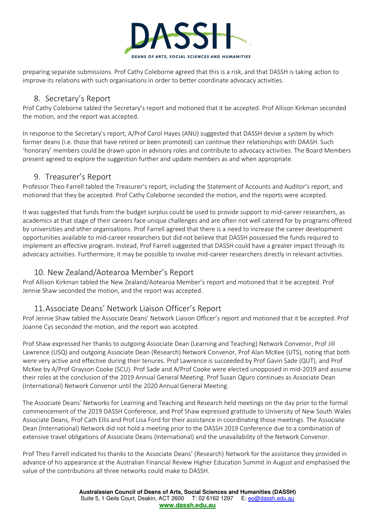

preparing separate submissions. Prof Cathy Coleborne agreed that this is a risk, and that DASSH is taking action to improve its relations with such organisations in order to better coordinate advocacy activities.

## 8. Secretary's Report

Prof Cathy Coleborne tabled the Secretary's report and motioned that it be accepted. Prof Allison Kirkman seconded the motion, and the report was accepted.

In response to the Secretary's report, A/Prof Carol Hayes (ANU) suggested that DASSH devise a system by which former deans (i.e. those that have retired or been promoted) can continue their relationships with DAASH. Such 'honorary' members could be drawn upon in advisory roles and contribute to advocacy activities. The Board Members present agreed to explore the suggestion further and update members as and when appropriate.

#### 9. Treasurer's Report

Professor Theo Farrell tabled the Treasurer's report, including the Statement of Accounts and Auditor's report, and motioned that they be accepted. Prof Cathy Coleborne seconded the motion, and the reports were accepted.

It was suggested that funds from the budget surplus could be used to provide support to mid-career researchers, as academics at that stage of their careers face unique challenges and are often not well catered for by programs offered by universities and other organisations. Prof Farrell agreed that there is a need to increase the career development opportunities available to mid-career researchers but did not believe that DASSH possessed the funds required to implement an effective program. Instead, Prof Farrell suggested that DASSH could have a greater impact through its advocacy activities. Furthermore, it may be possible to involve mid-career researchers directly in relevant activities.

### 10. New Zealand/Aotearoa Member's Report

Prof Allison Kirkman tabled the New Zealand/Aotearoa Member's report and motioned that it be accepted. Prof Jennie Shaw seconded the motion, and the report was accepted.

### 11.Associate Deans' Network Liaison Officer's Report

Prof Jennie Shaw tabled the Associate Deans' Network Liaison Officer's report and motioned that it be accepted. Prof Joanne Cys seconded the motion, and the report was accepted.

Prof Shaw expressed her thanks to outgoing Associate Dean (Learning and Teaching) Network Convenor, Prof Jill Lawrence (USQ) and outgoing Associate Dean (Research) Network Convenor, Prof Alan McKee (UTS), noting that both were very active and effective during their tenures. Prof Lawrence is succeeded by Prof Gavin Sade (QUT), and Prof McKee by A/Prof Grayson Cooke (SCU). Prof Sade and A/Prof Cooke were elected unopposed in mid-2019 and assume their roles at the conclusion of the 2019 Annual General Meeting. Prof Susan Oguro continues as Associate Dean (International) Network Convenor until the 2020 Annual General Meeting.

The Associate Deans' Networks for Learning and Teaching and Research held meetings on the day prior to the formal commencement of the 2019 DASSH Conference, and Prof Shaw expressed gratitude to University of New South Wales Associate Deans, Prof Cath Ellis and Prof Lisa Ford for their assistance in coordinating those meetings. The Associate Dean (International) Network did not hold a meeting prior to the DASSH 2019 Conference due to a combination of extensive travel obligations of Associate Deans (International) and the unavailability of the Network Convenor.

Prof Theo Farrell indicated his thanks to the Associate Deans' (Research) Network for the assistance they provided in advance of his appearance at the Australian Financial Review Higher Education Summit in August and emphasised the value of the contributions all three networks could make to DASSH.